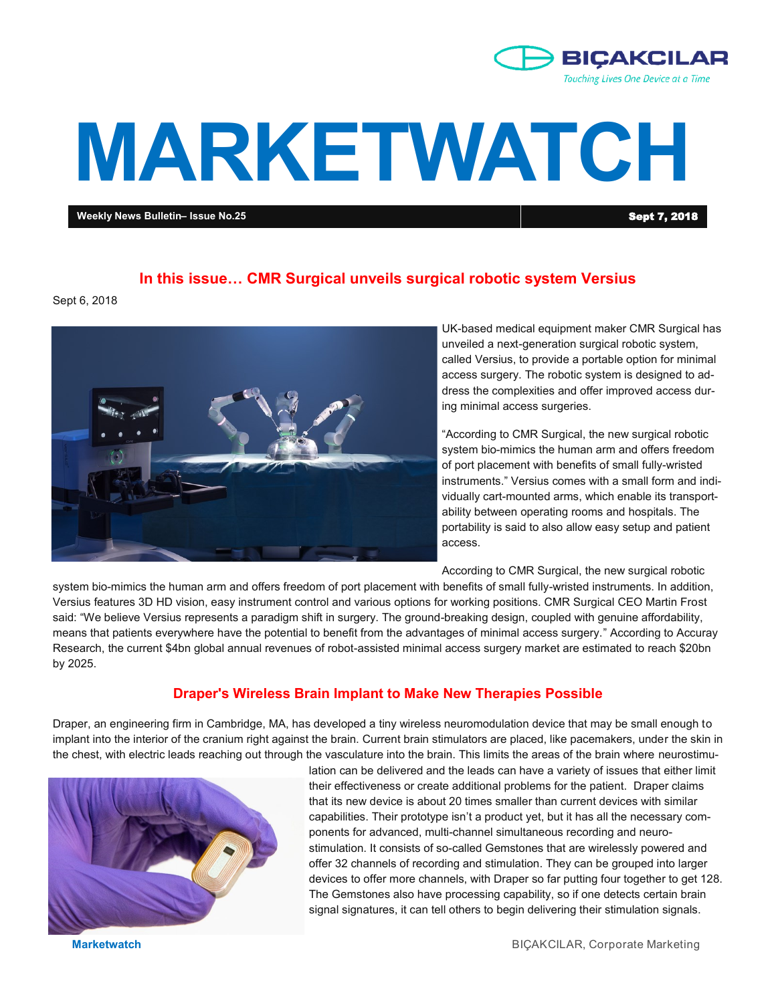

# **MARKETWATCH**

**Weekly News Bulletin– Issue No.25** Sept 7, 2018

## **In this issue… CMR Surgical unveils surgical robotic system Versius**

Sept 6, 2018



UK-based medical equipment maker CMR Surgical has unveiled a next-generation surgical robotic system, called Versius, to provide a portable option for minimal access surgery. The robotic system is designed to address the complexities and offer improved access during minimal access surgeries.

"According to CMR Surgical, the new surgical robotic system bio-mimics the human arm and offers freedom of port placement with benefits of small fully-wristed instruments." Versius comes with a small form and individually cart-mounted arms, which enable its transportability between operating rooms and hospitals. The portability is said to also allow easy setup and patient access.

According to CMR Surgical, the new surgical robotic

system bio-mimics the human arm and offers freedom of port placement with benefits of small fully-wristed instruments. In addition, Versius features 3D HD vision, easy instrument control and various options for working positions. CMR Surgical CEO Martin Frost said: "We believe Versius represents a paradigm shift in surgery. The ground-breaking design, coupled with genuine affordability, means that patients everywhere have the potential to benefit from the advantages of minimal access surgery." According to Accuray Research, the current \$4bn global annual revenues of robot-assisted minimal access surgery market are estimated to reach \$20bn by 2025.

### **Draper's Wireless Brain Implant to Make New Therapies Possible**

Draper, an engineering firm in Cambridge, MA, has developed a tiny wireless neuromodulation device that may be small enough to implant into the interior of the cranium right against the brain. Current brain stimulators are placed, like pacemakers, under the skin in the chest, with electric leads reaching out through the vasculature into the brain. This limits the areas of the brain where neurostimu-



lation can be delivered and the leads can have a variety of issues that either limit their effectiveness or create additional problems for the patient. Draper claims that its new device is about 20 times smaller than current devices with similar capabilities. Their prototype isn't a product yet, but it has all the necessary components for advanced, multi-channel simultaneous recording and neurostimulation. It consists of so-called Gemstones that are wirelessly powered and offer 32 channels of recording and stimulation. They can be grouped into larger devices to offer more channels, with Draper so far putting four together to get 128. The Gemstones also have processing capability, so if one detects certain brain signal signatures, it can tell others to begin delivering their stimulation signals.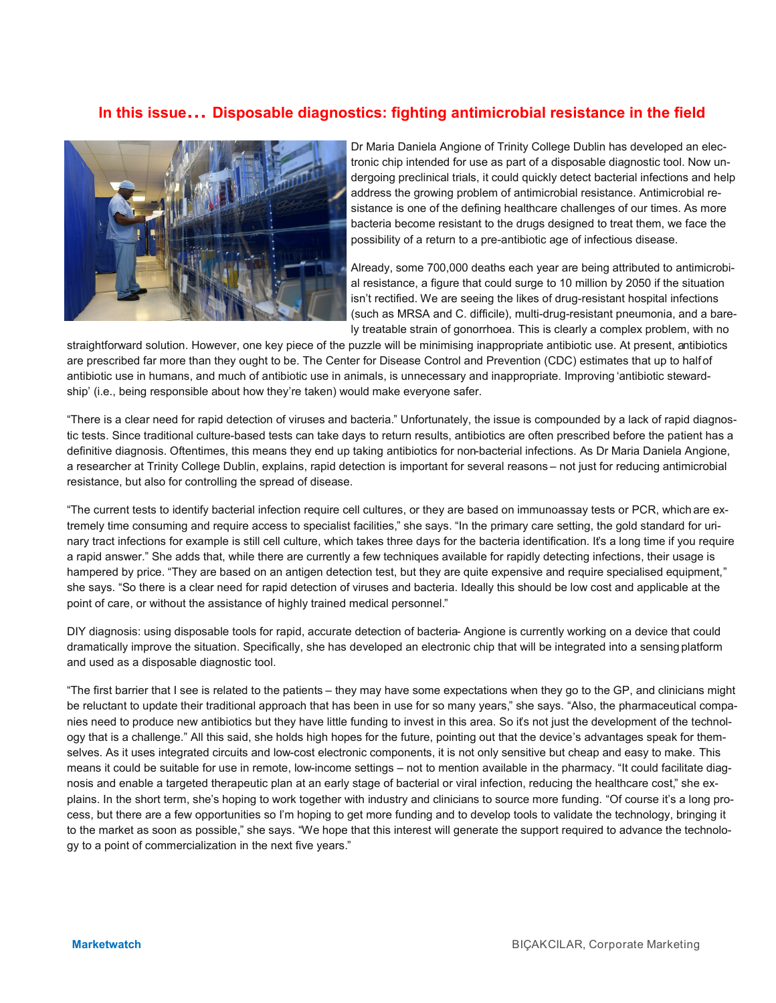# **In this issue… Disposable diagnostics: fighting antimicrobial resistance in the field**



Dr Maria Daniela Angione of Trinity College Dublin has developed an electronic chip intended for use as part of a disposable diagnostic tool. Now undergoing preclinical trials, it could quickly detect bacterial infections and help address the growing problem of antimicrobial resistance. Antimicrobial resistance is one of the defining healthcare challenges of our times. As more bacteria become resistant to the drugs designed to treat them, we face the possibility of a return to a pre-antibiotic age of infectious disease.

Already, some 700,000 deaths each year are being attributed to antimicrobial resistance, a figure that could surge to 10 million by 2050 if the situation isn't rectified. We are seeing the likes of drug-resistant hospital infections (such as MRSA and C. difficile), multi-drug-resistant pneumonia, and a barely treatable strain of gonorrhoea. This is clearly a complex problem, with no

straightforward solution. However, one key piece of the puzzle will be minimising inappropriate antibiotic use. At present, antibiotics are prescribed far more than they ought to be. The Center for Disease Control and Prevention (CDC) estimates that up to half of antibiotic use in humans, and much of antibiotic use in animals, is unnecessary and inappropriate. Improving 'antibiotic stewardship' (i.e., being responsible about how they're taken) would make everyone safer.

"There is a clear need for rapid detection of viruses and bacteria." Unfortunately, the issue is compounded by a lack of rapid diagnostic tests. Since traditional culture-based tests can take days to return results, antibiotics are often prescribed before the patient has a definitive diagnosis. Oftentimes, this means they end up taking antibiotics for non-bacterial infections. As Dr Maria Daniela Angione, a researcher at Trinity College Dublin, explains, rapid detection is important for several reasons – not just for reducing antimicrobial resistance, but also for controlling the spread of disease.

"The current tests to identify bacterial infection require cell cultures, or they are based on immunoassay tests or PCR, which are extremely time consuming and require access to specialist facilities," she says. "In the primary care setting, the gold standard for urinary tract infections for example is still cell culture, which takes three days for the bacteria identification. It's a long time if you require a rapid answer." She adds that, while there are currently a few techniques available for rapidly detecting infections, their usage is hampered by price. "They are based on an antigen detection test, but they are quite expensive and require specialised equipment," she says. "So there is a clear need for rapid detection of viruses and bacteria. Ideally this should be low cost and applicable at the point of care, or without the assistance of highly trained medical personnel."

DIY diagnosis: using disposable tools for rapid, accurate detection of bacteria- Angione is currently working on a device that could dramatically improve the situation. Specifically, she has developed an electronic chip that will be integrated into a sensing platform and used as a disposable diagnostic tool.

"The first barrier that I see is related to the patients – they may have some expectations when they go to the GP, and clinicians might be reluctant to update their traditional approach that has been in use for so many years," she says. "Also, the pharmaceutical companies need to produce new antibiotics but they have little funding to invest in this area. So it's not just the development of the technology that is a challenge." All this said, she holds high hopes for the future, pointing out that the device's advantages speak for themselves. As it uses integrated circuits and low-cost electronic components, it is not only sensitive but cheap and easy to make. This means it could be suitable for use in remote, low-income settings – not to mention available in the pharmacy. "It could facilitate diagnosis and enable a targeted therapeutic plan at an early stage of bacterial or viral infection, reducing the healthcare cost," she explains. In the short term, she's hoping to work together with industry and clinicians to source more funding. "Of course it's a long process, but there are a few opportunities so I'm hoping to get more funding and to develop tools to validate the technology, bringing it to the market as soon as possible," she says. "We hope that this interest will generate the support required to advance the technology to a point of commercialization in the next five years."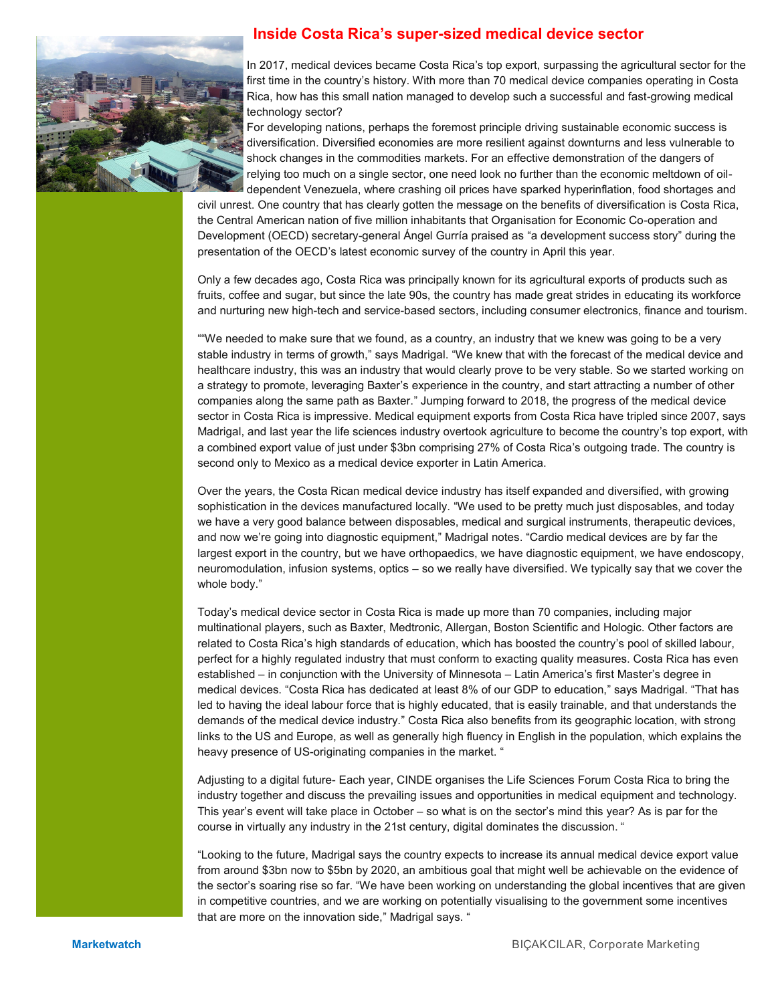

## **Inside Costa Rica's super-sized medical device sector**

In 2017, medical devices became Costa Rica's top export, surpassing the agricultural sector for the first time in the country's history. With more than 70 medical device companies operating in Costa Rica, how has this small nation managed to develop such a successful and fast-growing medical technology sector?

For developing nations, perhaps the foremost principle driving sustainable economic success is diversification. Diversified economies are more resilient against downturns and less vulnerable to shock changes in the commodities markets. For an effective demonstration of the dangers of relying too much on a single sector, one need look no further than the economic meltdown of oildependent Venezuela, where crashing oil prices have sparked hyperinflation, food shortages and

civil unrest. One country that has clearly gotten the message on the benefits of diversification is Costa Rica, the Central American nation of five million inhabitants that Organisation for Economic Co-operation and Development (OECD) secretary-general Ángel Gurría praised as "a development success story" during the presentation of the OECD's latest economic survey of the country in April this year.

Only a few decades ago, Costa Rica was principally known for its agricultural exports of products such as fruits, coffee and sugar, but since the late 90s, the country has made great strides in educating its workforce and nurturing new high-tech and service-based sectors, including consumer electronics, finance and tourism.

""We needed to make sure that we found, as a country, an industry that we knew was going to be a very stable industry in terms of growth," says Madrigal. "We knew that with the forecast of the medical device and healthcare industry, this was an industry that would clearly prove to be very stable. So we started working on a strategy to promote, leveraging Baxter's experience in the country, and start attracting a number of other companies along the same path as Baxter." Jumping forward to 2018, the progress of the medical device sector in Costa Rica is impressive. Medical equipment exports from Costa Rica have tripled since 2007, says Madrigal, and last year the life sciences industry overtook agriculture to become the country's top export, with a combined export value of just under \$3bn comprising 27% of Costa Rica's outgoing trade. The country is second only to Mexico as a medical device exporter in Latin America.

Over the years, the Costa Rican medical device industry has itself expanded and diversified, with growing sophistication in the devices manufactured locally. "We used to be pretty much just disposables, and today we have a very good balance between disposables, medical and surgical instruments, therapeutic devices, and now we're going into diagnostic equipment," Madrigal notes. "Cardio medical devices are by far the largest export in the country, but we have orthopaedics, we have diagnostic equipment, we have endoscopy, neuromodulation, infusion systems, optics – so we really have diversified. We typically say that we cover the whole body."

Today's medical device sector in Costa Rica is made up more than 70 companies, including major multinational players, such as Baxter, Medtronic, Allergan, Boston Scientific and Hologic. Other factors are related to Costa Rica's high standards of education, which has boosted the country's pool of skilled labour, perfect for a highly regulated industry that must conform to exacting quality measures. Costa Rica has even established – in conjunction with the University of Minnesota – Latin America's first Master's degree in medical devices. "Costa Rica has dedicated at least 8% of our GDP to education," says Madrigal. "That has led to having the ideal labour force that is highly educated, that is easily trainable, and that understands the demands of the medical device industry." Costa Rica also benefits from its geographic location, with strong links to the US and Europe, as well as generally high fluency in English in the population, which explains the heavy presence of US-originating companies in the market. "

Adjusting to a digital future- Each year, CINDE organises the Life Sciences Forum Costa Rica to bring the industry together and discuss the prevailing issues and opportunities in medical equipment and technology. This year's event will take place in October – so what is on the sector's mind this year? As is par for the course in virtually any industry in the 21st century, digital dominates the discussion. "

"Looking to the future, Madrigal says the country expects to increase its annual medical device export value from around \$3bn now to \$5bn by 2020, an ambitious goal that might well be achievable on the evidence of the sector's soaring rise so far. "We have been working on understanding the global incentives that are given in competitive countries, and we are working on potentially visualising to the government some incentives that are more on the innovation side," Madrigal says. "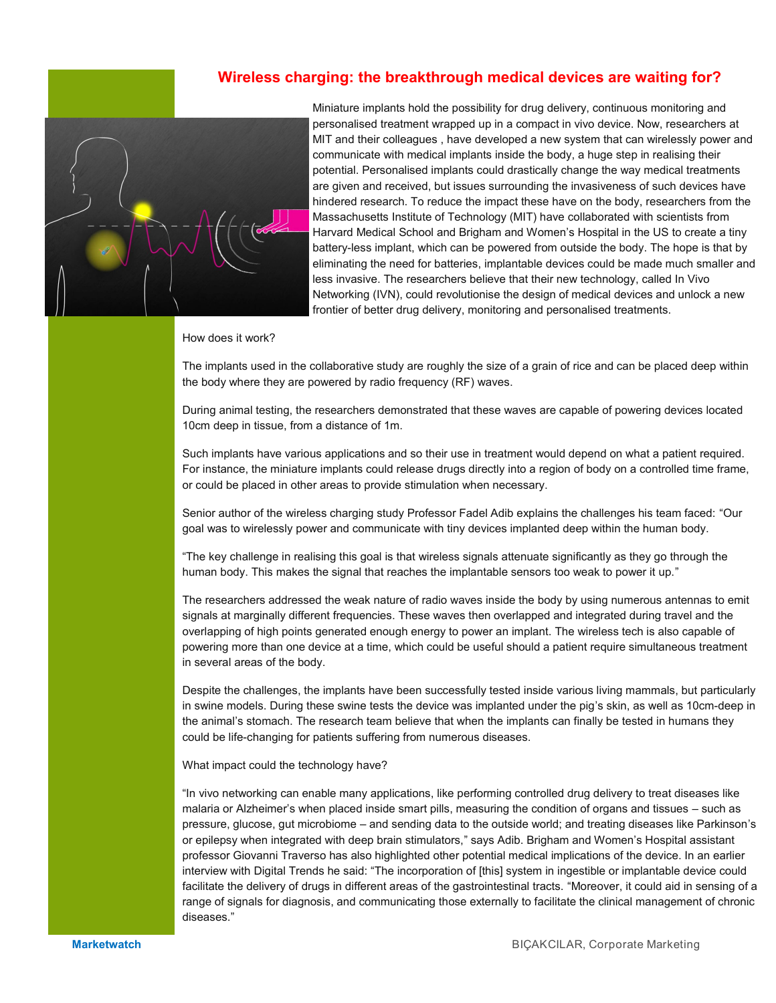# **Wireless charging: the breakthrough medical devices are waiting for?**



Miniature implants hold the possibility for drug delivery, continuous monitoring and personalised treatment wrapped up in a compact in vivo device. Now, researchers at MIT and their colleagues , have developed a new system that can wirelessly power and communicate with medical implants inside the body, a huge step in realising their potential. Personalised implants could drastically change the way medical treatments are given and received, but issues surrounding the invasiveness of such devices have hindered research. To reduce the impact these have on the body, researchers from the Massachusetts Institute of Technology (MIT) have collaborated with scientists from Harvard Medical School and Brigham and Women's Hospital in the US to create a tiny battery-less implant, which can be powered from outside the body. The hope is that by eliminating the need for batteries, implantable devices could be made much smaller and less invasive. The researchers believe that their new technology, called In Vivo Networking (IVN), could revolutionise the design of medical devices and unlock a new frontier of better drug delivery, monitoring and personalised treatments.

How does it work?

The implants used in the collaborative study are roughly the size of a grain of rice and can be placed deep within the body where they are powered by radio frequency (RF) waves.

During animal testing, the researchers demonstrated that these waves are capable of powering devices located 10cm deep in tissue, from a distance of 1m.

Such implants have various applications and so their use in treatment would depend on what a patient required. For instance, the miniature implants could release drugs directly into a region of body on a controlled time frame, or could be placed in other areas to provide stimulation when necessary.

Senior author of the wireless charging study Professor Fadel Adib explains the challenges his team faced: "Our goal was to wirelessly power and communicate with tiny devices implanted deep within the human body.

"The key challenge in realising this goal is that wireless signals attenuate significantly as they go through the human body. This makes the signal that reaches the implantable sensors too weak to power it up."

The researchers addressed the weak nature of radio waves inside the body by using numerous antennas to emit signals at marginally different frequencies. These waves then overlapped and integrated during travel and the overlapping of high points generated enough energy to power an implant. The wireless tech is also capable of powering more than one device at a time, which could be useful should a patient require simultaneous treatment in several areas of the body.

Despite the challenges, the implants have been successfully tested inside various living mammals, but particularly in swine models. During these swine tests the device was implanted under the pig's skin, as well as 10cm-deep in the animal's stomach. The research team believe that when the implants can finally be tested in humans they could be life-changing for patients suffering from numerous diseases.

What impact could the technology have?

"In vivo networking can enable many applications, like performing controlled drug delivery to treat diseases like malaria or Alzheimer's when placed inside smart pills, measuring the condition of organs and tissues – such as pressure, glucose, gut microbiome – and sending data to the outside world; and treating diseases like Parkinson's or epilepsy when integrated with deep brain stimulators," says Adib. Brigham and Women's Hospital assistant professor Giovanni Traverso has also highlighted other potential medical implications of the device. In an earlier interview with Digital Trends he said: "The incorporation of [this] system in ingestible or implantable device could facilitate the delivery of drugs in different areas of the gastrointestinal tracts. "Moreover, it could aid in sensing of a range of signals for diagnosis, and communicating those externally to facilitate the clinical management of chronic diseases."